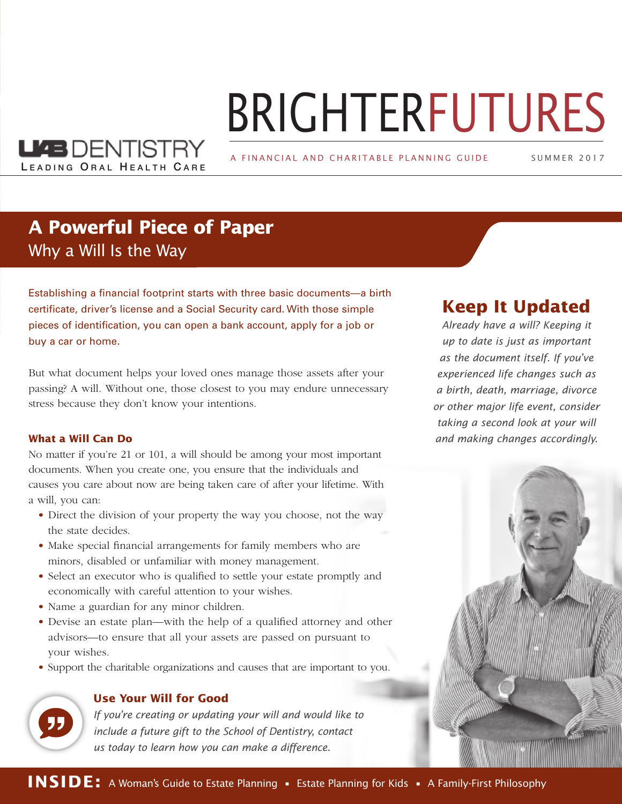# BRIGHTERFUTURES

A FINANCIAL AND CHARITABLE PLANNING GUIDE

SUMMER 2 0 1 7

### **A Powerful Piece of Paper** Why a Will Is the Way

LEADING ORAL HEALTH CARE

**LKB** DENTISTRY

Establishing a financial footprint starts with three basic documents—a birth certificate, driver's license and a Social Security card. With those simple pieces of identification, you can open a bank account, apply for a job or buy a car or home.

But what document helps your loved ones manage those assets after your passing? A will. Without one, those closest to you may endure unnecessary stress because they don't know your intentions.

#### **What a Will Can Do**

No matter if you're 21 or 101, a will should be among your most important documents. When you create one, you ensure that the individuals and causes you care about now are being taken care of after your lifetime. With a will, you can:

- Direct the division of your property the way you choose, not the way the state decides.
- Make special financial arrangements for family members who are minors, disabled or unfamiliar with money management.
- Select an executor who is qualified to settle your estate promptly and economically with careful attention to your wishes.
- Name a guardian for any minor children.
- Devise an estate plan—with the help of a qualified attorney and other advisors—to ensure that all your assets are passed on pursuant to your wishes.
- Support the charitable organizations and causes that are important to you.



#### **Use Your Will for Good**

*If you're creating or updating your will and would like to include a future gift to the School of Dentistry, contact us today to learn how you can make a difference.*

#### **Keep It Updated**

*Already have a will? Keeping it up to date is just as important as the document itself. If you've experienced life changes such as a birth, death, marriage, divorce or other major life event, consider taking a second look at your will and making changes accordingly.*

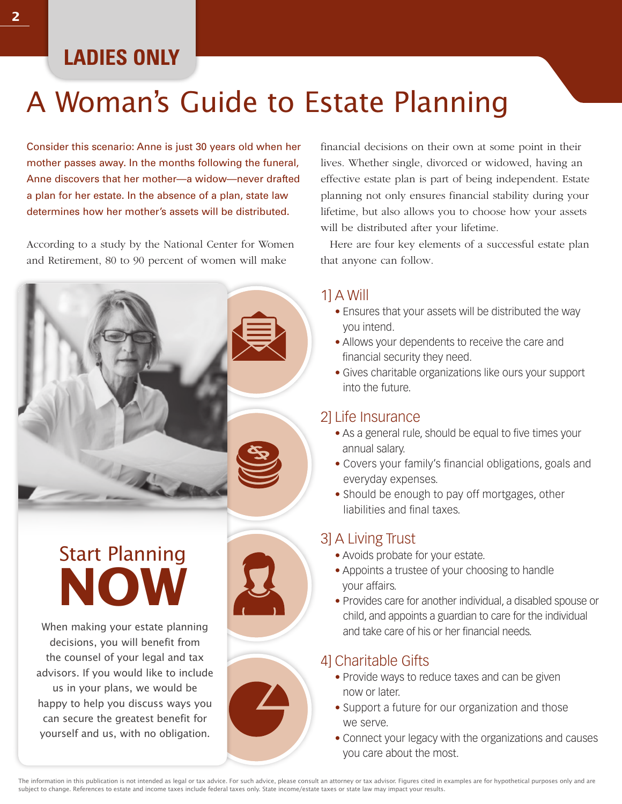# **LADIES ONLY**

# A Woman's Guide to Estate Planning

Consider this scenario: Anne is just 30 years old when her mother passes away. In the months following the funeral, Anne discovers that her mother—a widow—never drafted a plan for her estate. In the absence of a plan, state law determines how her mother's assets will be distributed.

According to a study by the National Center for Women and Retirement, 80 to 90 percent of women will make



When making your estate planning decisions, you will benefit from Start Planning **NOW**

the counsel of your legal and tax advisors. If you would like to include us in your plans, we would be happy to help you discuss ways you can secure the greatest benefit for yourself and us, with no obligation.





financial decisions on their own at some point in their lives. Whether single, divorced or widowed, having an effective estate plan is part of being independent. Estate planning not only ensures financial stability during your lifetime, but also allows you to choose how your assets will be distributed after your lifetime.

Here are four key elements of a successful estate plan that anyone can follow.

#### 1] A Will

- Ensures that your assets will be distributed the way you intend.
- Allows your dependents to receive the care and financial security they need.
- Gives charitable organizations like ours your support into the future.

#### 2] Life Insurance

- As a general rule, should be equal to five times your annual salary.
- Covers your family's financial obligations, goals and everyday expenses.
- Should be enough to pay off mortgages, other liabilities and final taxes.

#### 3] A Living Trust

- Avoids probate for your estate.
- Appoints a trustee of your choosing to handle your affairs.
- Provides care for another individual, a disabled spouse or child, and appoints a guardian to care for the individual and take care of his or her financial needs.

#### 4] Charitable Gifts

- Provide ways to reduce taxes and can be given now or later.
- Support a future for our organization and those we serve.
- Connect your legacy with the organizations and causes you care about the most.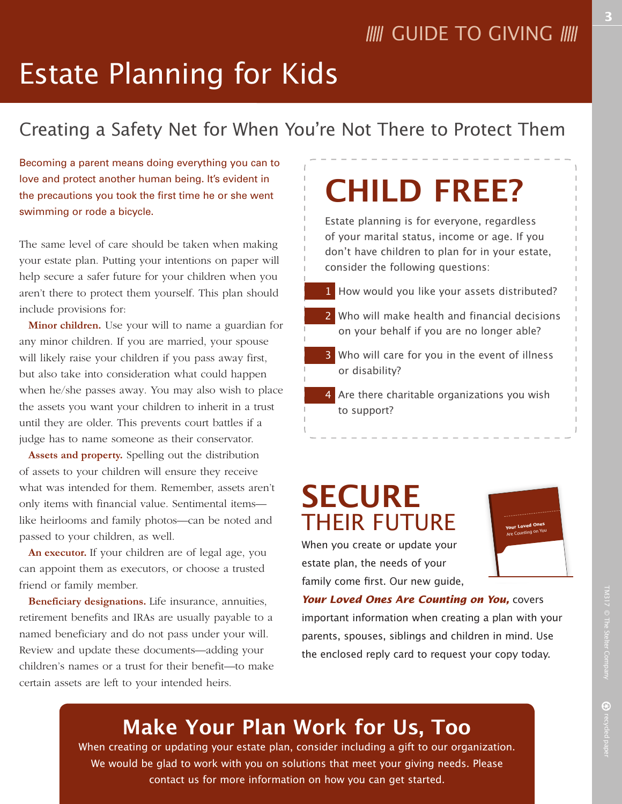# Estate Planning for Kids

### Creating a Safety Net for When You're Not There to Protect Them

Becoming a parent means doing everything you can to love and protect another human being. It's evident in the precautions you took the first time he or she went swimming or rode a bicycle.

The same level of care should be taken when making your estate plan. Putting your intentions on paper will help secure a safer future for your children when you aren't there to protect them yourself. This plan should include provisions for:

**Minor children.** Use your will to name a guardian for any minor children. If you are married, your spouse will likely raise your children if you pass away first, but also take into consideration what could happen when he/she passes away. You may also wish to place the assets you want your children to inherit in a trust until they are older. This prevents court battles if a judge has to name someone as their conservator.

**Assets and property.** Spelling out the distribution of assets to your children will ensure they receive what was intended for them. Remember, assets aren't only items with financial value. Sentimental items like heirlooms and family photos—can be noted and passed to your children, as well.

**An executor.** If your children are of legal age, you can appoint them as executors, or choose a trusted friend or family member.

**Beneficiary designations.** Life insurance, annuities, retirement benefits and IRAs are usually payable to a named beneficiary and do not pass under your will. Review and update these documents—adding your children's names or a trust for their benefit—to make certain assets are left to your intended heirs.

# **CHILD FREE?**

Estate planning is for everyone, regardless of your marital status, income or age. If you don't have children to plan for in your estate, consider the following questions:

- 1 How would you like your assets distributed?
- 2 Who will make health and financial decisions on your behalf if you are no longer able?
- 3 Who will care for you in the event of illness or disability?
- 4 Are there charitable organizations you wish to support?

# **SECURE**  THEIR FUTURE

When you create or update your estate plan, the needs of your family come first. Our new guide,



*Your Loved Ones Are Counting on You,* covers important information when creating a plan with your parents, spouses, siblings and children in mind. Use the enclosed reply card to request your copy today.

## **Make Your Plan Work for Us, Too**

When creating or updating your estate plan, consider including a gift to our organization. We would be glad to work with you on solutions that meet your giving needs. Please contact us for more information on how you can get started.